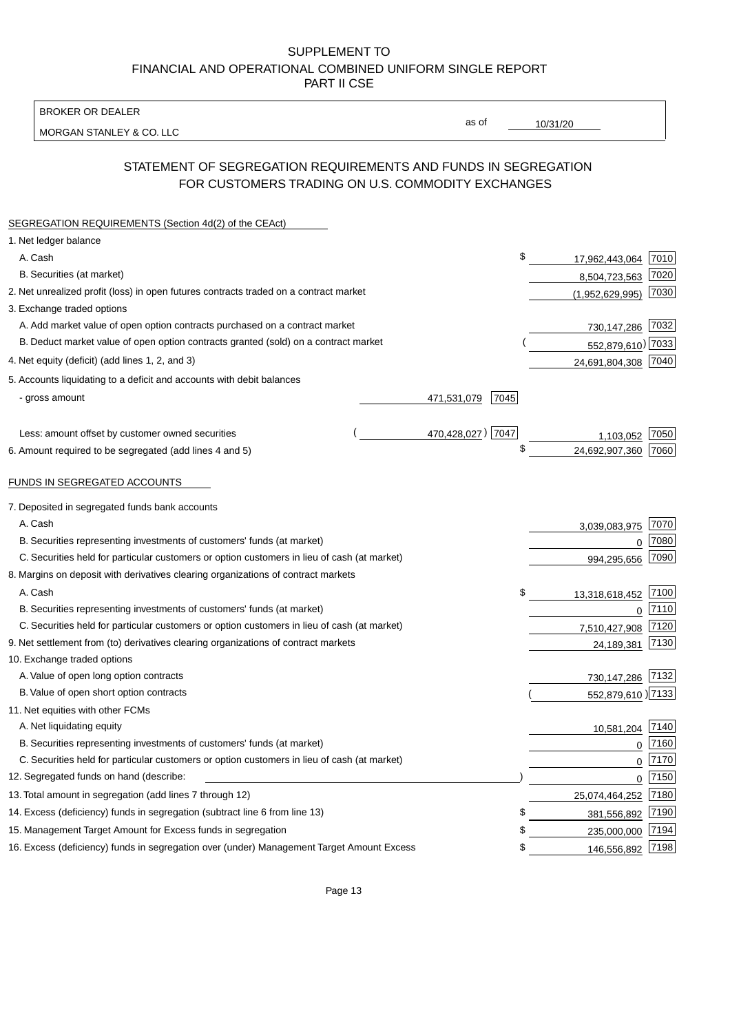BROKER OR DEALER

MORGAN STANLEY & CO. LLC

10/31/20

as of

# STATEMENT OF SEGREGATION REQUIREMENTS AND FUNDS IN SEGREGATION FOR CUSTOMERS TRADING ON U.S. COMMODITY EXCHANGES

| SEGREGATION REQUIREMENTS (Section 4d(2) of the CEAct)                                       |                     |                     |      |
|---------------------------------------------------------------------------------------------|---------------------|---------------------|------|
| 1. Net ledger balance                                                                       |                     |                     |      |
| A. Cash                                                                                     | \$                  | 17,962,443,064      | 7010 |
| B. Securities (at market)                                                                   |                     | 8,504,723,563       | 7020 |
| 2. Net unrealized profit (loss) in open futures contracts traded on a contract market       |                     | (1,952,629,995)     | 7030 |
| 3. Exchange traded options                                                                  |                     |                     |      |
| A. Add market value of open option contracts purchased on a contract market                 |                     | 730,147,286 7032    |      |
| B. Deduct market value of open option contracts granted (sold) on a contract market         |                     | 552,879,610) 7033   |      |
| 4. Net equity (deficit) (add lines 1, 2, and 3)                                             |                     | 24,691,804,308 7040 |      |
| 5. Accounts liquidating to a deficit and accounts with debit balances                       |                     |                     |      |
| - gross amount                                                                              | 7045<br>471,531,079 |                     |      |
|                                                                                             |                     |                     |      |
| Less: amount offset by customer owned securities                                            | 470,428,027) 7047   | 1.103.052           | 7050 |
| 6. Amount required to be segregated (add lines 4 and 5)                                     | \$                  | 24,692,907,360      | 7060 |
| FUNDS IN SEGREGATED ACCOUNTS                                                                |                     |                     |      |
| 7. Deposited in segregated funds bank accounts                                              |                     |                     |      |
| A. Cash                                                                                     |                     | 3,039,083,975       | 7070 |
| B. Securities representing investments of customers' funds (at market)                      |                     | $\mathbf{0}$        | 7080 |
| C. Securities held for particular customers or option customers in lieu of cash (at market) |                     | 994,295,656         | 7090 |
| 8. Margins on deposit with derivatives clearing organizations of contract markets           |                     |                     |      |
| A. Cash                                                                                     | \$                  | 13,318,618,452      | 7100 |
| B. Securities representing investments of customers' funds (at market)                      |                     | $\mathbf 0$         | 7110 |
| C. Securities held for particular customers or option customers in lieu of cash (at market) |                     | 7,510,427,908       | 7120 |
| 9. Net settlement from (to) derivatives clearing organizations of contract markets          |                     | 24,189,381          | 7130 |
| 10. Exchange traded options                                                                 |                     |                     |      |
| A. Value of open long option contracts                                                      |                     | 730,147,286         | 7132 |
| B. Value of open short option contracts                                                     |                     | 552,879,610 7133    |      |
| 11. Net equities with other FCMs                                                            |                     |                     |      |
| A. Net liquidating equity                                                                   |                     | 10,581,204          | 7140 |
| B. Securities representing investments of customers' funds (at market)                      |                     | $\overline{0}$      | 7160 |
| C. Securities held for particular customers or option customers in lieu of cash (at market) |                     | $\mathbf 0$         | 7170 |
| 12. Segregated funds on hand (describe:                                                     |                     | $\mathbf{0}$        | 7150 |
| 13. Total amount in segregation (add lines 7 through 12)                                    |                     | 25,074,464,252      | 7180 |
| 14. Excess (deficiency) funds in segregation (subtract line 6 from line 13)                 | \$                  | 381,556,892         | 7190 |
| 15. Management Target Amount for Excess funds in segregation                                | \$                  | 235,000,000         | 7194 |
| 16. Excess (deficiency) funds in segregation over (under) Management Target Amount Excess   | \$                  | 146,556,892         | 7198 |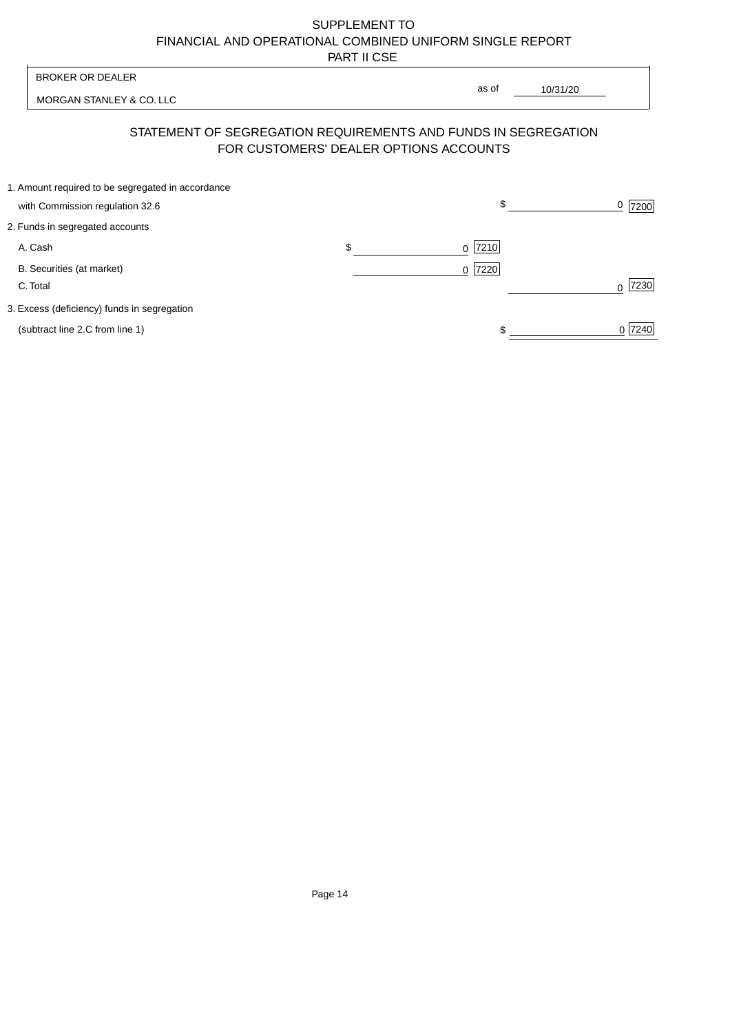| <b>BROKER OR DEALER</b>                                                                                  | as of                  |          |           |
|----------------------------------------------------------------------------------------------------------|------------------------|----------|-----------|
| MORGAN STANLEY & CO. LLC                                                                                 |                        | 10/31/20 |           |
| STATEMENT OF SEGREGATION REQUIREMENTS AND FUNDS IN SEGREGATION<br>FOR CUSTOMERS' DEALER OPTIONS ACCOUNTS |                        |          |           |
| 1. Amount required to be segregated in accordance<br>with Commission regulation 32.6                     |                        | \$       | 0<br>7200 |
| 2. Funds in segregated accounts                                                                          |                        |          |           |
| A. Cash                                                                                                  | \$<br>7210<br>$\Omega$ |          |           |
| B. Securities (at market)<br>C. Total                                                                    | 7220<br>$\Omega$       |          | 7230<br>U |
| 3. Excess (deficiency) funds in segregation                                                              |                        |          |           |
| (subtract line 2.C from line 1)                                                                          |                        |          | 0 7240    |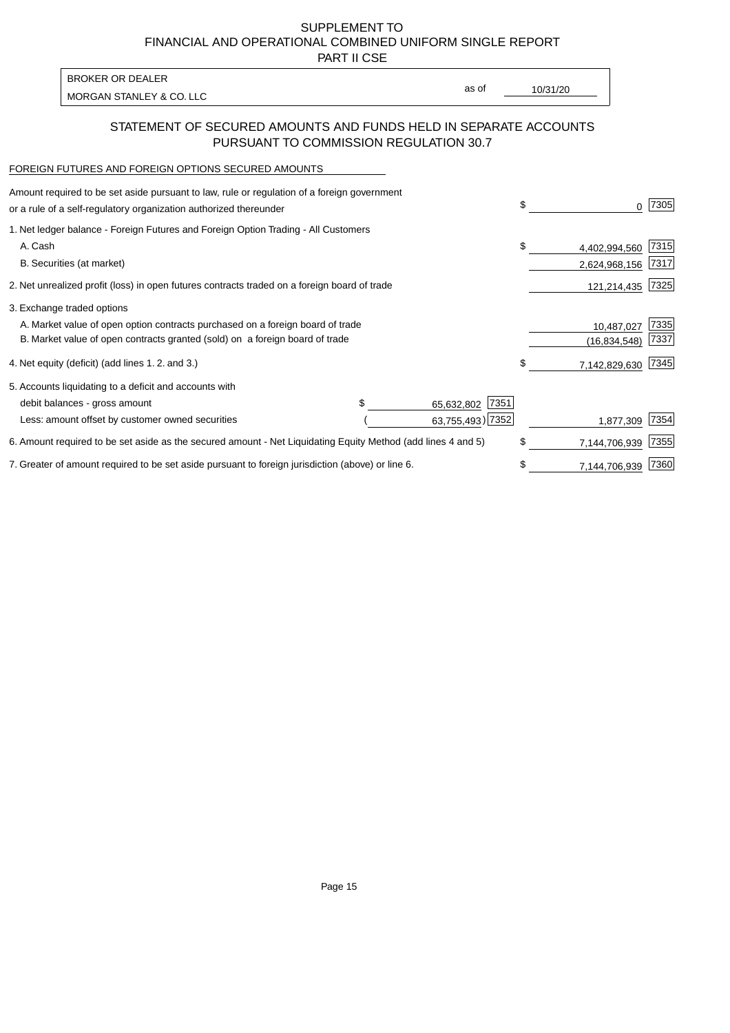PART II CSE

| BROKER OR DEALER         |       |          |
|--------------------------|-------|----------|
|                          | as of | 10/31/20 |
| MORGAN STANLEY & CO. LLC |       |          |

#### STATEMENT OF SECURED AMOUNTS AND FUNDS HELD IN SEPARATE ACCOUNTS PURSUANT TO COMMISSION REGULATION 30.7

#### FOREIGN FUTURES AND FOREIGN OPTIONS SECURED AMOUNTS

| Amount required to be set aside pursuant to law, rule or regulation of a foreign government<br>or a rule of a self-regulatory organization authorized thereunder |  |                    | \$<br>0             | 7305 |
|------------------------------------------------------------------------------------------------------------------------------------------------------------------|--|--------------------|---------------------|------|
| 1. Net ledger balance - Foreign Futures and Foreign Option Trading - All Customers                                                                               |  |                    |                     |      |
| A. Cash                                                                                                                                                          |  |                    | \$<br>4,402,994,560 | 7315 |
| B. Securities (at market)                                                                                                                                        |  |                    | 2,624,968,156       | 7317 |
| 2. Net unrealized profit (loss) in open futures contracts traded on a foreign board of trade                                                                     |  |                    | 121,214,435         | 7325 |
| 3. Exchange traded options                                                                                                                                       |  |                    |                     |      |
| A. Market value of open option contracts purchased on a foreign board of trade                                                                                   |  |                    | 10,487,027          | 7335 |
| B. Market value of open contracts granted (sold) on a foreign board of trade                                                                                     |  |                    | (16, 834, 548)      | 7337 |
| 4. Net equity (deficit) (add lines 1.2. and 3.)                                                                                                                  |  |                    | \$<br>7,142,829,630 | 7345 |
| 5. Accounts liquidating to a deficit and accounts with                                                                                                           |  |                    |                     |      |
| debit balances - gross amount                                                                                                                                    |  | 7351<br>65,632,802 |                     |      |
| Less: amount offset by customer owned securities                                                                                                                 |  | 63,755,493) 7352   | 1,877,309           | 7354 |
| 6. Amount required to be set aside as the secured amount - Net Liquidating Equity Method (add lines 4 and 5)                                                     |  |                    | \$<br>7,144,706,939 | 7355 |
| 7. Greater of amount required to be set aside pursuant to foreign jurisdiction (above) or line 6.                                                                |  |                    | \$<br>7,144,706,939 | 7360 |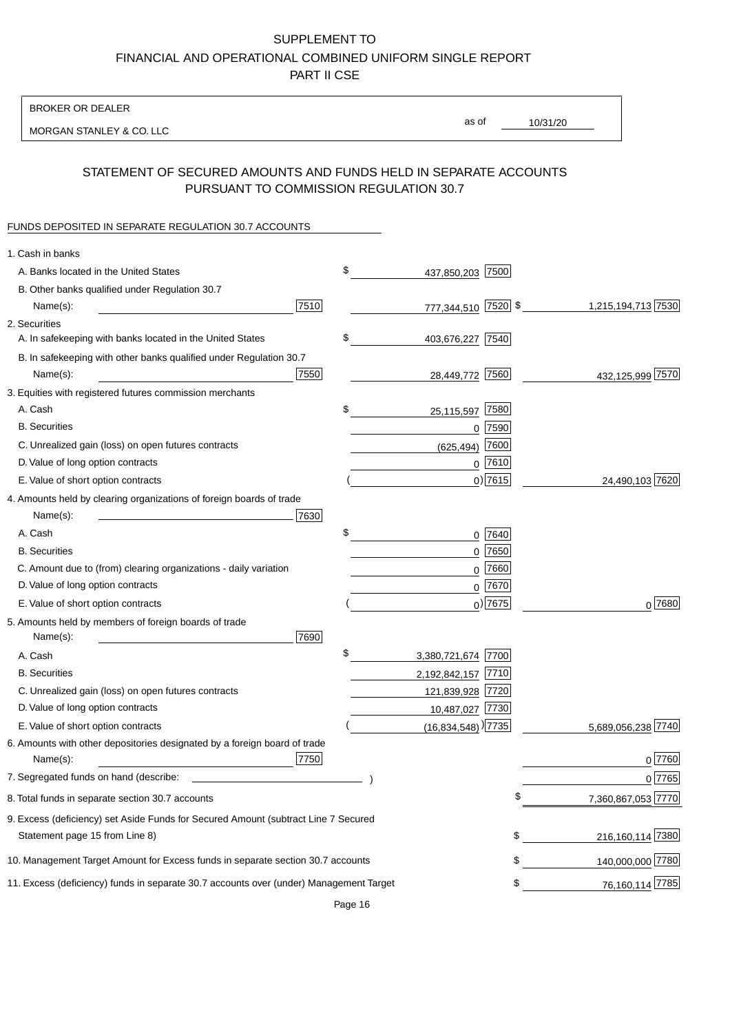BROKER OR DEALER

MORGAN STANLEY & CO. LLC

10/31/20 as of

# STATEMENT OF SECURED AMOUNTS AND FUNDS HELD IN SEPARATE ACCOUNTS PURSUANT TO COMMISSION REGULATION 30.7

## FUNDS DEPOSITED IN SEPARATE REGULATION 30.7 ACCOUNTS

| \$<br>A. Banks located in the United States<br>437,850,203 7500<br>B. Other banks qualified under Regulation 30.7<br>7510<br>777,344,510 7520 \$<br>1,215,194,713 7530<br>Name(s):<br>2. Securities<br>\$<br>A. In safekeeping with banks located in the United States<br>403,676,227 7540<br>B. In safekeeping with other banks qualified under Regulation 30.7<br>7550<br>28,449,772 7560<br>432,125,999 7570<br>Name(s):<br><u> 1990 - Johann Barbara, martin a</u><br>3. Equities with registered futures commission merchants<br>A. Cash<br>\$<br>7580<br>25,115,597<br><b>B.</b> Securities<br>$0$ 7590<br>7600<br>C. Unrealized gain (loss) on open futures contracts<br>(625, 494)<br>$0$ 7610<br>D. Value of long option contracts<br>$0)$ 7615<br>24,490,103 7620<br>E. Value of short option contracts<br>4. Amounts held by clearing organizations of foreign boards of trade<br>Name(s):<br>7630<br>\$<br>A. Cash<br>0 7640<br>$0$ 7650<br><b>B.</b> Securities<br>C. Amount due to (from) clearing organizations - daily variation<br>7660<br>0<br>D. Value of long option contracts<br>0 7670<br>$0$ ) 7675<br>$0^{7680}$<br>E. Value of short option contracts<br>5. Amounts held by members of foreign boards of trade<br>Name(s):<br>7690<br>\$<br>3,380,721,674 7700<br>A. Cash<br><b>B.</b> Securities<br>2,192,842,157 7710<br>121,839,928 7720<br>C. Unrealized gain (loss) on open futures contracts<br>D. Value of long option contracts<br>10,487,027 7730<br>$(16,834,548)$ <sup>)</sup> 7735<br>E. Value of short option contracts<br>5,689,056,238 7740<br>6. Amounts with other depositories designated by a foreign board of trade<br>7750<br>0 7760<br>Name(s):<br>7. Segregated funds on hand (describe:<br>0 7765<br>7,360,867,053 7770<br>8. Total funds in separate section 30.7 accounts<br>Ψ<br>9. Excess (deficiency) set Aside Funds for Secured Amount (subtract Line 7 Secured | 1. Cash in banks               |    |                  |
|-------------------------------------------------------------------------------------------------------------------------------------------------------------------------------------------------------------------------------------------------------------------------------------------------------------------------------------------------------------------------------------------------------------------------------------------------------------------------------------------------------------------------------------------------------------------------------------------------------------------------------------------------------------------------------------------------------------------------------------------------------------------------------------------------------------------------------------------------------------------------------------------------------------------------------------------------------------------------------------------------------------------------------------------------------------------------------------------------------------------------------------------------------------------------------------------------------------------------------------------------------------------------------------------------------------------------------------------------------------------------------------------------------------------------------------------------------------------------------------------------------------------------------------------------------------------------------------------------------------------------------------------------------------------------------------------------------------------------------------------------------------------------------------------------------------------------------------------------------------------------------------------------------------------------|--------------------------------|----|------------------|
|                                                                                                                                                                                                                                                                                                                                                                                                                                                                                                                                                                                                                                                                                                                                                                                                                                                                                                                                                                                                                                                                                                                                                                                                                                                                                                                                                                                                                                                                                                                                                                                                                                                                                                                                                                                                                                                                                                                         |                                |    |                  |
|                                                                                                                                                                                                                                                                                                                                                                                                                                                                                                                                                                                                                                                                                                                                                                                                                                                                                                                                                                                                                                                                                                                                                                                                                                                                                                                                                                                                                                                                                                                                                                                                                                                                                                                                                                                                                                                                                                                         |                                |    |                  |
|                                                                                                                                                                                                                                                                                                                                                                                                                                                                                                                                                                                                                                                                                                                                                                                                                                                                                                                                                                                                                                                                                                                                                                                                                                                                                                                                                                                                                                                                                                                                                                                                                                                                                                                                                                                                                                                                                                                         |                                |    |                  |
|                                                                                                                                                                                                                                                                                                                                                                                                                                                                                                                                                                                                                                                                                                                                                                                                                                                                                                                                                                                                                                                                                                                                                                                                                                                                                                                                                                                                                                                                                                                                                                                                                                                                                                                                                                                                                                                                                                                         |                                |    |                  |
|                                                                                                                                                                                                                                                                                                                                                                                                                                                                                                                                                                                                                                                                                                                                                                                                                                                                                                                                                                                                                                                                                                                                                                                                                                                                                                                                                                                                                                                                                                                                                                                                                                                                                                                                                                                                                                                                                                                         |                                |    |                  |
|                                                                                                                                                                                                                                                                                                                                                                                                                                                                                                                                                                                                                                                                                                                                                                                                                                                                                                                                                                                                                                                                                                                                                                                                                                                                                                                                                                                                                                                                                                                                                                                                                                                                                                                                                                                                                                                                                                                         |                                |    |                  |
|                                                                                                                                                                                                                                                                                                                                                                                                                                                                                                                                                                                                                                                                                                                                                                                                                                                                                                                                                                                                                                                                                                                                                                                                                                                                                                                                                                                                                                                                                                                                                                                                                                                                                                                                                                                                                                                                                                                         |                                |    |                  |
|                                                                                                                                                                                                                                                                                                                                                                                                                                                                                                                                                                                                                                                                                                                                                                                                                                                                                                                                                                                                                                                                                                                                                                                                                                                                                                                                                                                                                                                                                                                                                                                                                                                                                                                                                                                                                                                                                                                         |                                |    |                  |
|                                                                                                                                                                                                                                                                                                                                                                                                                                                                                                                                                                                                                                                                                                                                                                                                                                                                                                                                                                                                                                                                                                                                                                                                                                                                                                                                                                                                                                                                                                                                                                                                                                                                                                                                                                                                                                                                                                                         |                                |    |                  |
|                                                                                                                                                                                                                                                                                                                                                                                                                                                                                                                                                                                                                                                                                                                                                                                                                                                                                                                                                                                                                                                                                                                                                                                                                                                                                                                                                                                                                                                                                                                                                                                                                                                                                                                                                                                                                                                                                                                         |                                |    |                  |
|                                                                                                                                                                                                                                                                                                                                                                                                                                                                                                                                                                                                                                                                                                                                                                                                                                                                                                                                                                                                                                                                                                                                                                                                                                                                                                                                                                                                                                                                                                                                                                                                                                                                                                                                                                                                                                                                                                                         |                                |    |                  |
|                                                                                                                                                                                                                                                                                                                                                                                                                                                                                                                                                                                                                                                                                                                                                                                                                                                                                                                                                                                                                                                                                                                                                                                                                                                                                                                                                                                                                                                                                                                                                                                                                                                                                                                                                                                                                                                                                                                         |                                |    |                  |
|                                                                                                                                                                                                                                                                                                                                                                                                                                                                                                                                                                                                                                                                                                                                                                                                                                                                                                                                                                                                                                                                                                                                                                                                                                                                                                                                                                                                                                                                                                                                                                                                                                                                                                                                                                                                                                                                                                                         |                                |    |                  |
|                                                                                                                                                                                                                                                                                                                                                                                                                                                                                                                                                                                                                                                                                                                                                                                                                                                                                                                                                                                                                                                                                                                                                                                                                                                                                                                                                                                                                                                                                                                                                                                                                                                                                                                                                                                                                                                                                                                         |                                |    |                  |
|                                                                                                                                                                                                                                                                                                                                                                                                                                                                                                                                                                                                                                                                                                                                                                                                                                                                                                                                                                                                                                                                                                                                                                                                                                                                                                                                                                                                                                                                                                                                                                                                                                                                                                                                                                                                                                                                                                                         |                                |    |                  |
|                                                                                                                                                                                                                                                                                                                                                                                                                                                                                                                                                                                                                                                                                                                                                                                                                                                                                                                                                                                                                                                                                                                                                                                                                                                                                                                                                                                                                                                                                                                                                                                                                                                                                                                                                                                                                                                                                                                         |                                |    |                  |
|                                                                                                                                                                                                                                                                                                                                                                                                                                                                                                                                                                                                                                                                                                                                                                                                                                                                                                                                                                                                                                                                                                                                                                                                                                                                                                                                                                                                                                                                                                                                                                                                                                                                                                                                                                                                                                                                                                                         |                                |    |                  |
|                                                                                                                                                                                                                                                                                                                                                                                                                                                                                                                                                                                                                                                                                                                                                                                                                                                                                                                                                                                                                                                                                                                                                                                                                                                                                                                                                                                                                                                                                                                                                                                                                                                                                                                                                                                                                                                                                                                         |                                |    |                  |
|                                                                                                                                                                                                                                                                                                                                                                                                                                                                                                                                                                                                                                                                                                                                                                                                                                                                                                                                                                                                                                                                                                                                                                                                                                                                                                                                                                                                                                                                                                                                                                                                                                                                                                                                                                                                                                                                                                                         |                                |    |                  |
|                                                                                                                                                                                                                                                                                                                                                                                                                                                                                                                                                                                                                                                                                                                                                                                                                                                                                                                                                                                                                                                                                                                                                                                                                                                                                                                                                                                                                                                                                                                                                                                                                                                                                                                                                                                                                                                                                                                         |                                |    |                  |
|                                                                                                                                                                                                                                                                                                                                                                                                                                                                                                                                                                                                                                                                                                                                                                                                                                                                                                                                                                                                                                                                                                                                                                                                                                                                                                                                                                                                                                                                                                                                                                                                                                                                                                                                                                                                                                                                                                                         |                                |    |                  |
|                                                                                                                                                                                                                                                                                                                                                                                                                                                                                                                                                                                                                                                                                                                                                                                                                                                                                                                                                                                                                                                                                                                                                                                                                                                                                                                                                                                                                                                                                                                                                                                                                                                                                                                                                                                                                                                                                                                         |                                |    |                  |
|                                                                                                                                                                                                                                                                                                                                                                                                                                                                                                                                                                                                                                                                                                                                                                                                                                                                                                                                                                                                                                                                                                                                                                                                                                                                                                                                                                                                                                                                                                                                                                                                                                                                                                                                                                                                                                                                                                                         |                                |    |                  |
|                                                                                                                                                                                                                                                                                                                                                                                                                                                                                                                                                                                                                                                                                                                                                                                                                                                                                                                                                                                                                                                                                                                                                                                                                                                                                                                                                                                                                                                                                                                                                                                                                                                                                                                                                                                                                                                                                                                         |                                |    |                  |
|                                                                                                                                                                                                                                                                                                                                                                                                                                                                                                                                                                                                                                                                                                                                                                                                                                                                                                                                                                                                                                                                                                                                                                                                                                                                                                                                                                                                                                                                                                                                                                                                                                                                                                                                                                                                                                                                                                                         |                                |    |                  |
|                                                                                                                                                                                                                                                                                                                                                                                                                                                                                                                                                                                                                                                                                                                                                                                                                                                                                                                                                                                                                                                                                                                                                                                                                                                                                                                                                                                                                                                                                                                                                                                                                                                                                                                                                                                                                                                                                                                         |                                |    |                  |
|                                                                                                                                                                                                                                                                                                                                                                                                                                                                                                                                                                                                                                                                                                                                                                                                                                                                                                                                                                                                                                                                                                                                                                                                                                                                                                                                                                                                                                                                                                                                                                                                                                                                                                                                                                                                                                                                                                                         |                                |    |                  |
|                                                                                                                                                                                                                                                                                                                                                                                                                                                                                                                                                                                                                                                                                                                                                                                                                                                                                                                                                                                                                                                                                                                                                                                                                                                                                                                                                                                                                                                                                                                                                                                                                                                                                                                                                                                                                                                                                                                         |                                |    |                  |
|                                                                                                                                                                                                                                                                                                                                                                                                                                                                                                                                                                                                                                                                                                                                                                                                                                                                                                                                                                                                                                                                                                                                                                                                                                                                                                                                                                                                                                                                                                                                                                                                                                                                                                                                                                                                                                                                                                                         |                                |    |                  |
|                                                                                                                                                                                                                                                                                                                                                                                                                                                                                                                                                                                                                                                                                                                                                                                                                                                                                                                                                                                                                                                                                                                                                                                                                                                                                                                                                                                                                                                                                                                                                                                                                                                                                                                                                                                                                                                                                                                         | Statement page 15 from Line 8) | \$ | 216,160,114 7380 |
| 140,000,000 7780<br>\$<br>10. Management Target Amount for Excess funds in separate section 30.7 accounts                                                                                                                                                                                                                                                                                                                                                                                                                                                                                                                                                                                                                                                                                                                                                                                                                                                                                                                                                                                                                                                                                                                                                                                                                                                                                                                                                                                                                                                                                                                                                                                                                                                                                                                                                                                                               |                                |    |                  |
| 11. Excess (deficiency) funds in separate 30.7 accounts over (under) Management Target<br>\$                                                                                                                                                                                                                                                                                                                                                                                                                                                                                                                                                                                                                                                                                                                                                                                                                                                                                                                                                                                                                                                                                                                                                                                                                                                                                                                                                                                                                                                                                                                                                                                                                                                                                                                                                                                                                            |                                |    | 76,160,114 7785  |